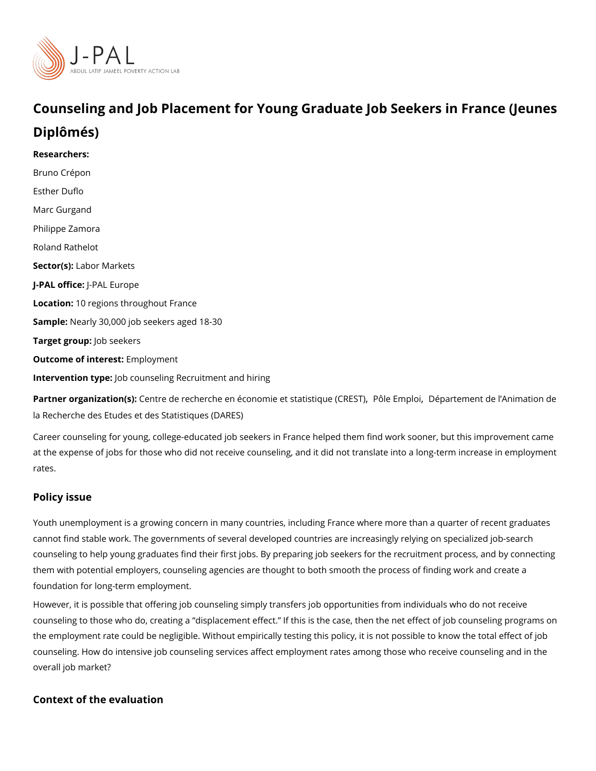## Counseling and Job Placement for Young Graduate (Juebur Seese k Diplômés)

Researchers: [Bruno Cré](https://www.povertyactionlab.org/person/crepon)pon [Esther D](https://www.povertyactionlab.org/person/duflo)uflo [Marc Gur](https://www.povertyactionlab.org/person/gurgand)gand [Philippe Za](https://www.povertyactionlab.org/person/zamora)mora [Roland Ra](https://www.povertyactionlab.org/person/rathelot)thelot Sector(Lsabor Markets J-PAL oftli-cReAL Europe Location0 regions throughout France SampleNearly 30,000 job seekers aged 18-30 Target groupb seekers Outcome of intelerengoth: oyment Intervention typb: counseling Recruitment and hiring

Partner organizatCoem(ts)e: de recherche en économie et [,](https://www.povertyactionlab.org/partners/pole-emploi)s Rôities tEiquy ne Doe(in CaRTE e Smiline de l'Animatio [la Recherche des Etudes et des S](https://www.povertyactionlab.org/partners/departement-de-lanimation-de-la-recherche-des-etudes-et-des-statistiques-dares)tatistiques (DARES)

Career counseling for young, college-educated job seekers in France helped them find wo at the expense of jobs for those who did not receive counseling, and it did not translate i rates.

## Policy issue

Youth unemployment is a growing concern in many countries, including France where more cannot find stable work. The governments of several developed countries are increasingly counseling to help young graduates find their first jobs. By preparing job seekers for the them with potential employers, counseling agencies are thought to both smooth the proces foundation for long-term employment.

However, it is possible that offering job counseling simply transfers job opportunities fro counseling to those who do, creating a displacement effect. If this is the case, then the the employment rate could be negligible. Without empirically testing this policy, it is not counseling. How do intensive job counseling services affect employment rates among thos overall job market?

Context of the evaluation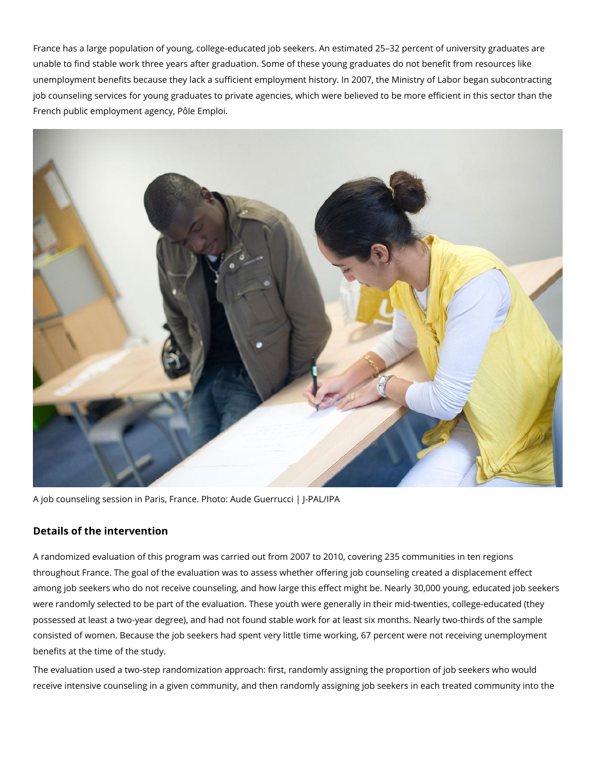France has a large population of young, college-educated job seekers. An estimated 25–32 percent of university graduates are unable to find stable work three years after graduation. Some of these young graduates do not benefit from resources like unemployment benefits because they lack a sufficient employment history. In 2007, the Ministry of Labor began subcontracting job counseling services for young graduates to private agencies, which were believed to be more efficient in this sector than the French public employment agency, Pôle Emploi.



A job counseling session in Paris, France. Photo: Aude Guerrucci | J-PAL/IPA

## **Details of the intervention**

A randomized evaluation of this program was carried out from 2007 to 2010, covering 235 communities in ten regions throughout France. The goal of the evaluation was to assess whether offering job counseling created a displacement effect among job seekers who do not receive counseling, and how large this effect might be. Nearly 30,000 young, educated job seekers were randomly selected to be part of the evaluation. These youth were generally in their mid-twenties, college-educated (they possessed at least a two-year degree), and had not found stable work for at least six months. Nearly two-thirds of the sample consisted of women. Because the job seekers had spent very little time working, 67 percent were not receiving unemployment benefits at the time of the study.

The evaluation used a two-step randomization approach: first, randomly assigning the proportion of job seekers who would receive intensive counseling in a given community, and then randomly assigning job seekers in each treated community into the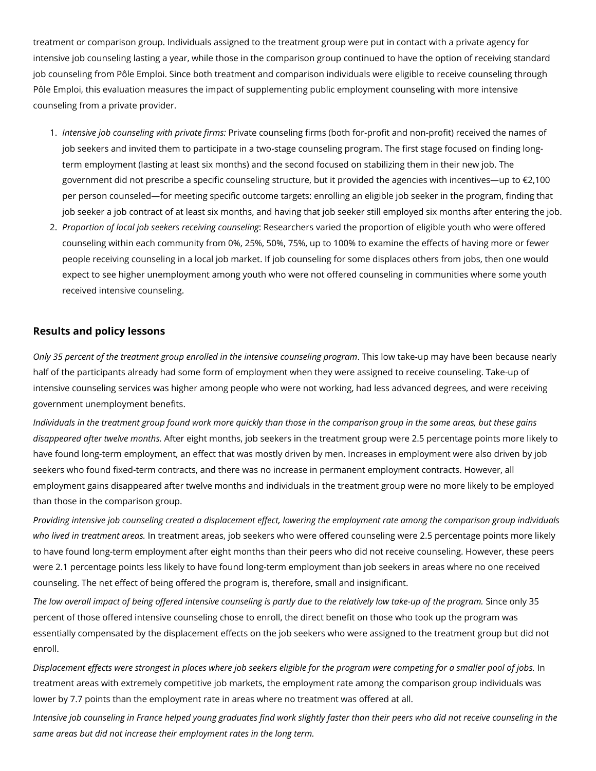treatment or comparison group. Individuals assigned to the treatment group were put in contact with a private agency for intensive job counseling lasting a year, while those in the comparison group continued to have the option of receiving standard job counseling from Pôle Emploi. Since both treatment and comparison individuals were eligible to receive counseling through Pôle Emploi, this evaluation measures the impact of supplementing public employment counseling with more intensive counseling from a private provider.

- 1. *Intensive job counseling with private firms:* Private counseling firms (both for-profit and non-profit) received the names of job seekers and invited them to participate in a two-stage counseling program. The first stage focused on finding longterm employment (lasting at least six months) and the second focused on stabilizing them in their new job. The government did not prescribe a specific counseling structure, but it provided the agencies with incentives—up to €2,100 per person counseled—for meeting specific outcome targets: enrolling an eligible job seeker in the program, finding that job seeker a job contract of at least six months, and having that job seeker still employed six months after entering the job.
- 2. *Proportion of local job seekers receiving counseling*: Researchers varied the proportion of eligible youth who were offered counseling within each community from 0%, 25%, 50%, 75%, up to 100% to examine the effects of having more or fewer people receiving counseling in a local job market. If job counseling for some displaces others from jobs, then one would expect to see higher unemployment among youth who were not offered counseling in communities where some youth received intensive counseling.

## **Results and policy lessons**

*Only 35 percent of the treatment group enrolled in the intensive counseling program*. This low take-up may have been because nearly half of the participants already had some form of employment when they were assigned to receive counseling. Take-up of intensive counseling services was higher among people who were not working, had less advanced degrees, and were receiving government unemployment benefits.

*Individuals in the treatment group found work more quickly than those in the comparison group in the same areas, but these gains disappeared after twelve months.* After eight months, job seekers in the treatment group were 2.5 percentage points more likely to have found long-term employment, an effect that was mostly driven by men. Increases in employment were also driven by job seekers who found fixed-term contracts, and there was no increase in permanent employment contracts. However, all employment gains disappeared after twelve months and individuals in the treatment group were no more likely to be employed than those in the comparison group.

*Providing intensive job counseling created a displacement effect, lowering the employment rate among the comparison group individuals who lived in treatment areas.* In treatment areas, job seekers who were offered counseling were 2.5 percentage points more likely to have found long-term employment after eight months than their peers who did not receive counseling. However, these peers were 2.1 percentage points less likely to have found long-term employment than job seekers in areas where no one received counseling. The net effect of being offered the program is, therefore, small and insignificant.

*The low overall impact of being offered intensive counseling is partly due to the relatively low take-up of the program.* Since only 35 percent of those offered intensive counseling chose to enroll, the direct benefit on those who took up the program was essentially compensated by the displacement effects on the job seekers who were assigned to the treatment group but did not enroll.

*Displacement effects were strongest in places where job seekers eligible for the program were competing for a smaller pool of jobs.* In treatment areas with extremely competitive job markets, the employment rate among the comparison group individuals was lower by 7.7 points than the employment rate in areas where no treatment was offered at all.

*Intensive job counseling in France helped young graduates find work slightly faster than their peers who did not receive counseling in the same areas but did not increase their employment rates in the long term.*